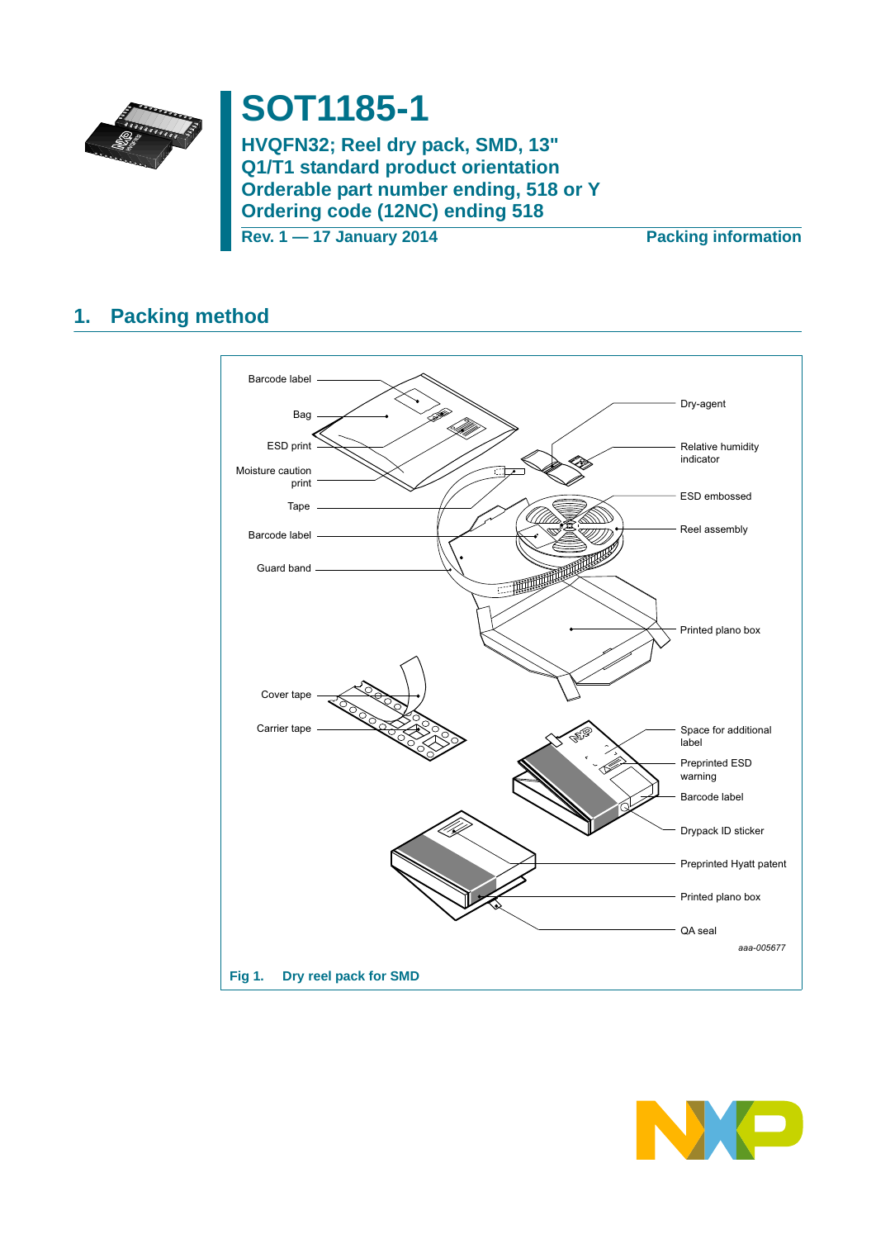

# **SOT1185-1**

**HVQFN32; Reel dry pack, SMD, 13" Q1/T1 standard product orientation Orderable part number ending, 518 or Y Ordering code (12NC) ending 518**

**Rev. 1 — 17 January 2014 Packing information**

## **1. Packing method**



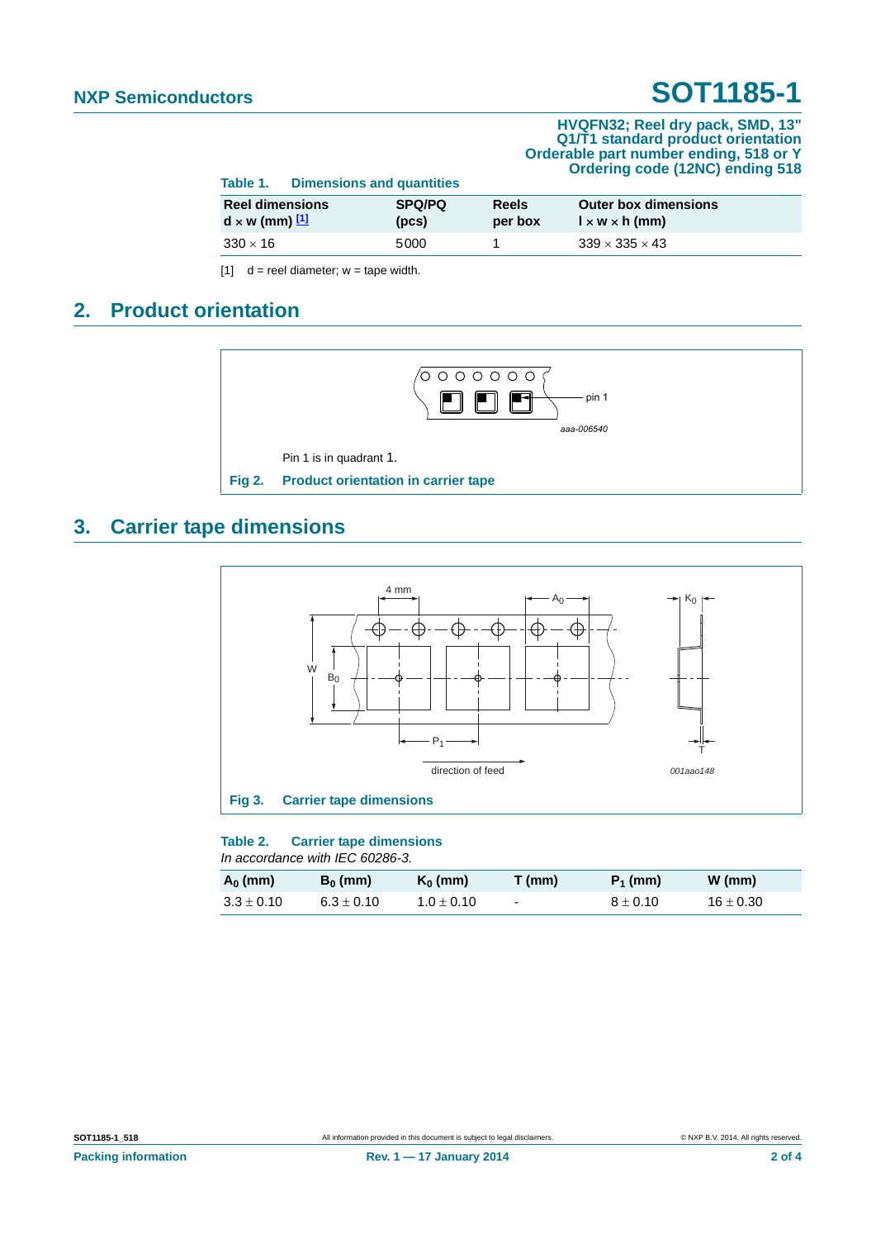## **NXP Semiconductors SOT1185-1**

#### **HVQFN32; Reel dry pack, SMD, 13" Q1/T1 standard product orientation Orderable part number ending, 518 or Y Ordering code (12NC) ending 518**

| Table 1.                                        | <b>Dimensions and quantities</b> |                        |                         |                                                           |  |  |
|-------------------------------------------------|----------------------------------|------------------------|-------------------------|-----------------------------------------------------------|--|--|
| <b>Reel dimensions</b><br>$d \times w$ (mm) $1$ |                                  | <b>SPQ/PQ</b><br>(pcs) | <b>Reels</b><br>per box | <b>Outer box dimensions</b><br>$l \times w \times h$ (mm) |  |  |
| $330 \times 16$                                 |                                  | 5000                   |                         | $339 \times 335 \times 43$                                |  |  |

<span id="page-1-0"></span> $[1]$  d = reel diameter; w = tape width.

### **2. Product orientation**



## **3. Carrier tape dimensions**



### **Table 2. Carrier tape dimensions**

*In accordance with IEC 60286-3.*

| $A_0$ (mm)     | $B_0$ (mm)   | $K_0$ (mm)   | $T$ (mm)                 | $P_1$ (mm)   | $W$ (mm)      |
|----------------|--------------|--------------|--------------------------|--------------|---------------|
| $3.3 \pm 0.10$ | $6.3\pm0.10$ | $1.0\pm0.10$ | $\overline{\phantom{a}}$ | $8 \pm 0.10$ | $16 \pm 0.30$ |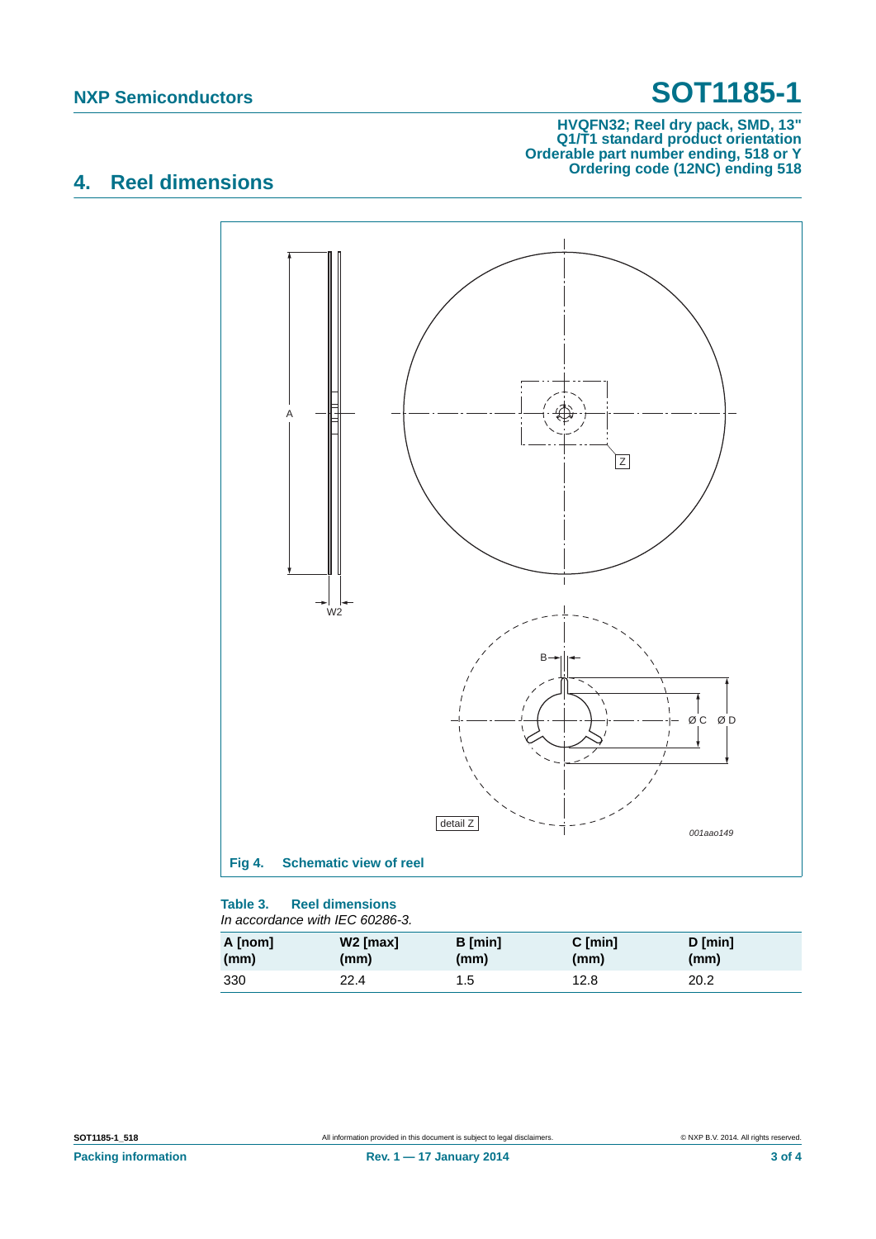## **NXP Semiconductors SOT1185-1**

#### **HVQFN32; Reel dry pack, SMD, 13" Q1/T1 standard product orientation Orderable part number ending, 518 or Y Ordering code (12NC) ending 518**

## **4. Reel dimensions**



#### **Table 3. Reel dimensions** *In accordance with IEC 60286-3.*

| A [nom] | W2 [max] | <b>B</b> [min] | $C$ [min] | $D$ [min] |
|---------|----------|----------------|-----------|-----------|
| (mm)    | (mm)     | (mm)           | (mm)      | (mm)      |
| 330     | 22.4     | 1.5            | 12.8      | 20.2      |